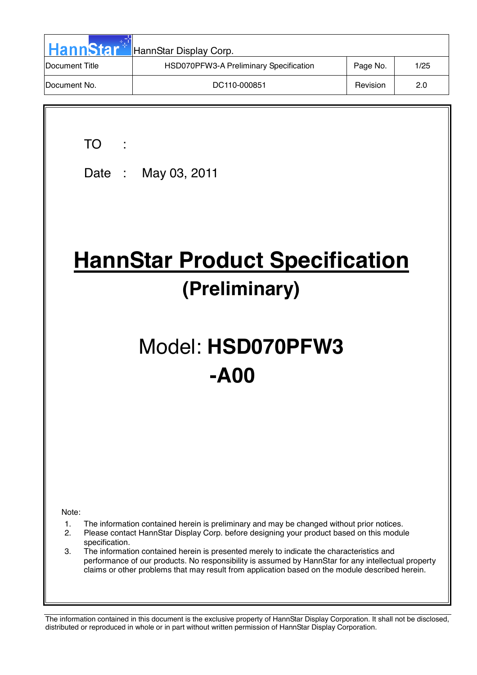| <b>HannStar</b> | HannStar Display Corp.                 |          |      |
|-----------------|----------------------------------------|----------|------|
| Document Title  | HSD070PFW3-A Preliminary Specification | Page No. | 1/25 |
| Document No.    | DC110-000851                           | Revision | 2.0  |

TO :

Date : May 03, 2011

# **HannStar Product Specification (Preliminary)**

# Model: **HSD070PFW3 -A00**

Note:

- 1. The information contained herein is preliminary and may be changed without prior notices.
- 2. Please contact HannStar Display Corp. before designing your product based on this module specification.
- 3. The information contained herein is presented merely to indicate the characteristics and performance of our products. No responsibility is assumed by HannStar for any intellectual property claims or other problems that may result from application based on the module described herein.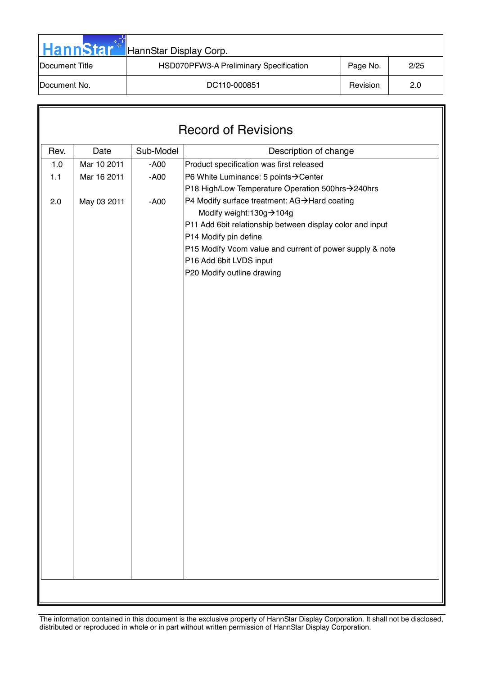| <b>HannStar</b>        | HannStar Display Corp.                 |          |      |
|------------------------|----------------------------------------|----------|------|
| <b>IDocument Title</b> | HSD070PFW3-A Preliminary Specification | Page No. | 2/25 |
| <b>IDocument No.</b>   | DC110-000851                           | Revision | 2.0  |

| <b>Record of Revisions</b> |             |           |                                                                                   |  |  |  |
|----------------------------|-------------|-----------|-----------------------------------------------------------------------------------|--|--|--|
| Rev.                       | Date        | Sub-Model | Description of change                                                             |  |  |  |
| $1.0$                      | Mar 10 2011 | $- A00$   | Product specification was first released                                          |  |  |  |
| 1.1                        | Mar 16 2011 | $- A00$   | P6 White Luminance: 5 points→Center                                               |  |  |  |
|                            |             |           | P18 High/Low Temperature Operation 500hrs->240hrs                                 |  |  |  |
| 2.0                        | May 03 2011 | $- A00$   | P4 Modify surface treatment: AG→Hard coating                                      |  |  |  |
|                            |             |           | Modify weight:130g→104g                                                           |  |  |  |
|                            |             |           | P11 Add 6bit relationship between display color and input                         |  |  |  |
|                            |             |           | P14 Modify pin define<br>P15 Modify Vcom value and current of power supply & note |  |  |  |
|                            |             |           | P16 Add 6bit LVDS input                                                           |  |  |  |
|                            |             |           | P20 Modify outline drawing                                                        |  |  |  |
|                            |             |           |                                                                                   |  |  |  |
|                            |             |           |                                                                                   |  |  |  |
|                            |             |           |                                                                                   |  |  |  |
|                            |             |           |                                                                                   |  |  |  |
|                            |             |           |                                                                                   |  |  |  |
|                            |             |           |                                                                                   |  |  |  |
|                            |             |           |                                                                                   |  |  |  |
|                            |             |           |                                                                                   |  |  |  |
|                            |             |           |                                                                                   |  |  |  |
|                            |             |           |                                                                                   |  |  |  |
|                            |             |           |                                                                                   |  |  |  |
|                            |             |           |                                                                                   |  |  |  |
|                            |             |           |                                                                                   |  |  |  |
|                            |             |           |                                                                                   |  |  |  |
|                            |             |           |                                                                                   |  |  |  |
|                            |             |           |                                                                                   |  |  |  |
|                            |             |           |                                                                                   |  |  |  |
|                            |             |           |                                                                                   |  |  |  |
|                            |             |           |                                                                                   |  |  |  |
|                            |             |           |                                                                                   |  |  |  |
|                            |             |           |                                                                                   |  |  |  |
|                            |             |           |                                                                                   |  |  |  |
|                            |             |           |                                                                                   |  |  |  |
|                            |             |           |                                                                                   |  |  |  |
|                            |             |           |                                                                                   |  |  |  |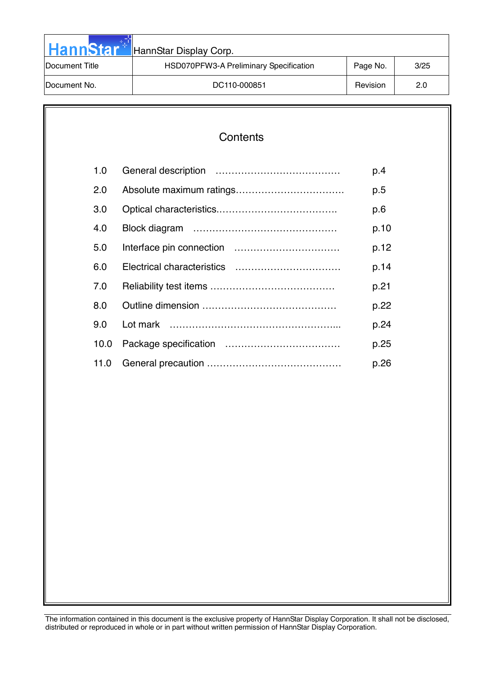| <b>HannStar</b> | HannStar Display Corp.                 |          |      |
|-----------------|----------------------------------------|----------|------|
| Document Title  | HSD070PFW3-A Preliminary Specification | Page No. | 3/25 |
| Document No.    | DC110-000851                           | Revision | 2.0  |

| Contents |
|----------|
|----------|

| 1.0  | p.4  |
|------|------|
| 2.0  | p.5  |
| 3.0  | p.6  |
| 4.0  | p.10 |
| 5.0  | p.12 |
| 6.0  | p.14 |
| 7.0  | p.21 |
| 8.0  | p.22 |
| 9.0  | p.24 |
| 10.0 | p.25 |
| 11.0 | p.26 |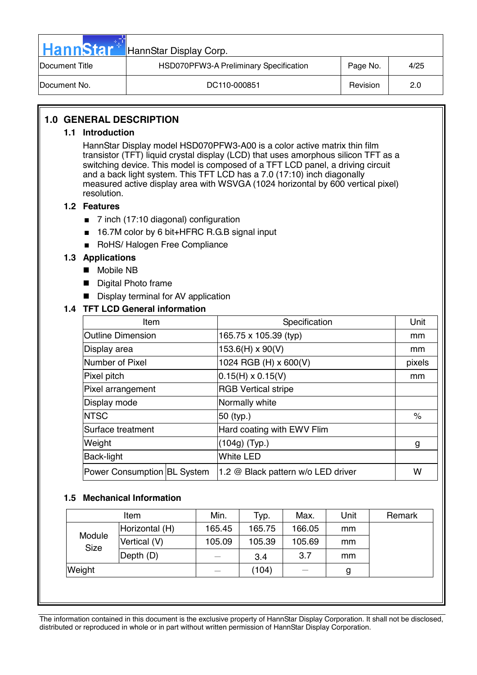| <b>HannStar</b> | HannStar Display Corp.                 |          |      |
|-----------------|----------------------------------------|----------|------|
| Document Title  | HSD070PFW3-A Preliminary Specification | Page No. | 4/25 |
| Document No.    | DC110-000851                           | Revision | 2.0  |

# **1.0 GENERAL DESCRIPTION**

#### **1.1 Introduction**

HannStar Display model HSD070PFW3-A00 is a color active matrix thin film transistor (TFT) liquid crystal display (LCD) that uses amorphous silicon TFT as a switching device. This model is composed of a TFT LCD panel, a driving circuit and a back light system. This TFT LCD has a 7.0 (17:10) inch diagonally measured active display area with WSVGA (1024 horizontal by 600 vertical pixel) resolution.

#### **1.2 Features**

- 7 inch (17:10 diagonal) configuration
- 16.7M color by 6 bit+HFRC R.G.B signal input
- RoHS/ Halogen Free Compliance

#### **1.3 Applications**

- **Mobile NB**
- **Digital Photo frame**
- Display terminal for AV application

#### **1.4 TFT LCD General information**

| Item                        |                       | Specification                      | Unit   |
|-----------------------------|-----------------------|------------------------------------|--------|
| <b>Outline Dimension</b>    | 165.75 x 105.39 (typ) |                                    |        |
| Display area                |                       | $153.6(H) \times 90(V)$            | mm     |
| Number of Pixel             |                       | 1024 RGB (H) x 600(V)              | pixels |
| Pixel pitch                 |                       | $0.15(H) \times 0.15(V)$           | mm     |
| Pixel arrangement           |                       | <b>RGB Vertical stripe</b>         |        |
| Display mode                |                       | Normally white                     |        |
| <b>INTSC</b>                |                       | 50 (typ.)                          | $\%$   |
| Surface treatment           |                       | Hard coating with EWV Flim         |        |
| Weight                      |                       | (104g) (Typ.)                      | g      |
| Back-light                  |                       | <b>White LED</b>                   |        |
| Power Consumption BL System |                       | 1.2 @ Black pattern w/o LED driver | w      |

#### **1.5 Mechanical Information**

| Item           | Min.   | Typ.   | Max.                     | Unit | Remark |
|----------------|--------|--------|--------------------------|------|--------|
| Horizontal (H) | 165.45 | 165.75 | 166.05                   | mm   |        |
| Vertical (V)   | 105.09 | 105.39 | 105.69                   | mm   |        |
| Depth (D)      |        | 3.4    | 3.7                      | mm   |        |
| Weight         |        | (104)  | $\overline{\phantom{a}}$ | g    |        |
|                |        |        |                          |      |        |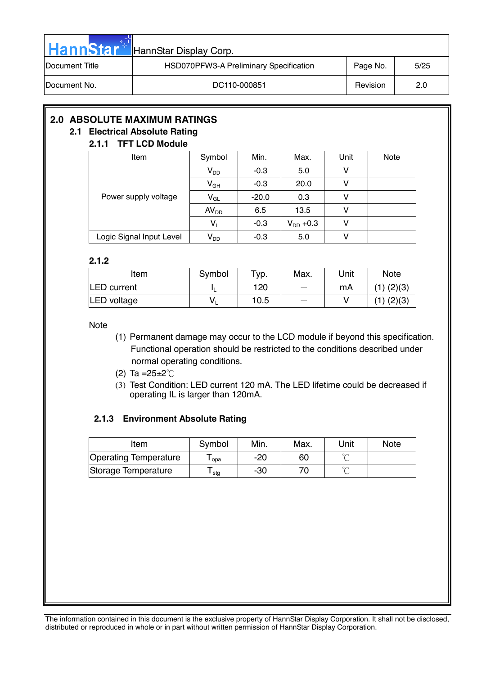| <b>HannStar</b>        | HannStar Display Corp.                 |          |      |
|------------------------|----------------------------------------|----------|------|
| <b>IDocument Title</b> | HSD070PFW3-A Preliminary Specification | Page No. | 5/25 |
| <b>IDocument No.</b>   | DC110-000851                           | Revision | 2.0  |

# **2.0 ABSOLUTE MAXIMUM RATINGS**

# **2.1 Electrical Absolute Rating**

## **2.1.1 TFT LCD Module**

| Item                     | Symbol                     | Min.    | Max.          | Unit | <b>Note</b> |
|--------------------------|----------------------------|---------|---------------|------|-------------|
| Power supply voltage     | $V_{DD}$                   | $-0.3$  | 5.0           | v    |             |
|                          | $V_{GH}$                   | $-0.3$  | 20.0          |      |             |
|                          | $V_{GL}$                   | $-20.0$ | 0.3           |      |             |
|                          | AV <sub>DD</sub>           | 6.5     | 13.5          |      |             |
|                          | $V_1$                      | $-0.3$  | $V_{DD}$ +0.3 |      |             |
| Logic Signal Input Level | $\mathsf{V}_{\mathsf{DD}}$ | $-0.3$  | 5.0           |      |             |

#### **2.1.2**

| Item        | Symbol | Typ. | Max. | Unit | <b>Note</b>    |
|-------------|--------|------|------|------|----------------|
| LED current |        | 120  |      | mA   | $(1)$ $(2)(3)$ |
| LED voltage | v      | 10.5 |      |      | $(1)$ $(2)(3)$ |

Note

- (1) Permanent damage may occur to the LCD module if beyond this specification. Functional operation should be restricted to the conditions described under normal operating conditions.
- (2) Ta = $25 \pm 2^{\circ}$ C
- (3) Test Condition: LED current 120 mA. The LED lifetime could be decreased if operating IL is larger than 120mA.

## **2.1.3 Environment Absolute Rating**

| Item                         | Symbol | Min. | Max. | Unit   | <b>Note</b> |
|------------------------------|--------|------|------|--------|-------------|
| <b>Operating Temperature</b> | opa    | -20  | 60   |        |             |
| Storage Temperature          | stg    | -30  |      | $\sim$ |             |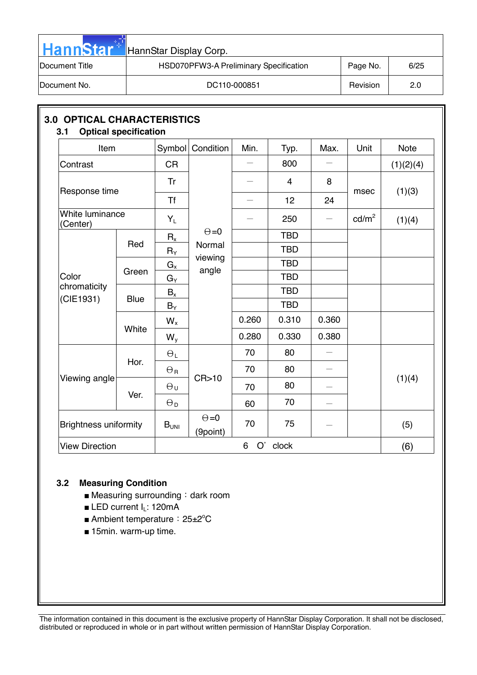| <b>HannStar</b> | HannStar Display Corp.                 |          |      |
|-----------------|----------------------------------------|----------|------|
| Document Title  | HSD070PFW3-A Preliminary Specification | Page No. | 6/25 |
| Document No.    | DC110-000851                           | Revision | 2.0  |

| Item                         |             | Symbol           | Condition                | Min.    | Typ.           | Max.  | Unit            | <b>Note</b> |  |
|------------------------------|-------------|------------------|--------------------------|---------|----------------|-------|-----------------|-------------|--|
| Contrast                     |             | <b>CR</b>        |                          |         | 800            |       |                 | (1)(2)(4)   |  |
|                              |             | Tr               |                          |         | $\overline{4}$ | 8     |                 |             |  |
| Response time                |             | <b>Tf</b>        |                          |         | 12             | 24    | msec            | (1)(3)      |  |
| White luminance<br>(Center)  |             | $Y_L$            |                          |         | 250            |       | $\text{cd/m}^2$ | (1)(4)      |  |
|                              |             | $R_{x}$          | $\Theta = 0$             |         | <b>TBD</b>     |       |                 |             |  |
| Color                        | Red         | $R_Y$            | Normal                   |         | <b>TBD</b>     |       |                 |             |  |
|                              |             | $G_{x}$          | viewing                  |         | <b>TBD</b>     |       |                 |             |  |
|                              | Green       | $G_Y$            | angle                    |         | <b>TBD</b>     |       |                 |             |  |
| chromaticity                 | <b>Blue</b> | $B_x$            |                          |         | <b>TBD</b>     |       |                 |             |  |
| (CIE1931)                    |             | $B_Y$            |                          |         | <b>TBD</b>     |       |                 |             |  |
|                              | White       | $W_{x}$          |                          | 0.260   | 0.310          | 0.360 |                 |             |  |
|                              |             | $W_{y}$          |                          | 0.280   | 0.330          | 0.380 |                 |             |  |
|                              |             | $\Theta_L$       |                          | 70      | 80             |       |                 |             |  |
|                              | Hor.        | $\Theta_{\rm R}$ |                          | 70      | 80             |       |                 |             |  |
| Viewing angle                |             | $\Theta_{\sf U}$ | CR > 10                  | 70      | 80             |       |                 | (1)(4)      |  |
|                              | Ver.        | $\Theta_D$       |                          | 60      | 70             |       |                 |             |  |
| <b>Brightness uniformity</b> |             | B <sub>UNI</sub> | $\Theta = 0$<br>(9point) | 70      | 75             |       |                 | (5)         |  |
| <b>View Direction</b>        |             |                  |                          | 6<br>O' | clock          |       |                 | (6)         |  |

# **3.2 Measuring Condition**

- Measuring surrounding: dark room
- LED current I<sub>L</sub>: 120mA
- Ambient temperature: 25±2<sup>o</sup>C
- 15min. warm-up time.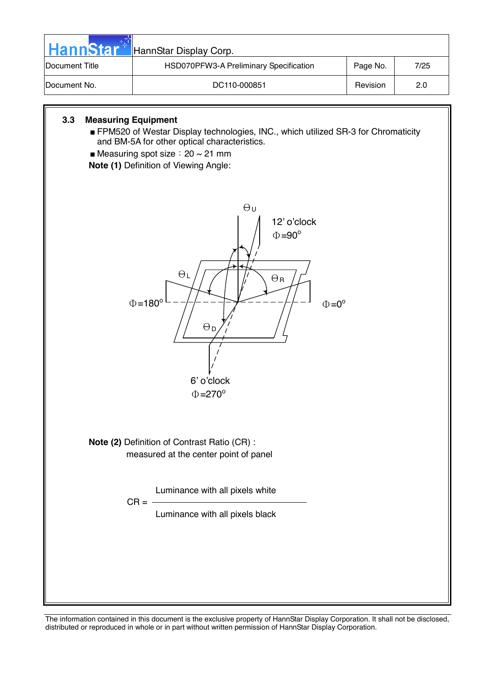

6' o'clock  $\Phi = 270^{\circ}$ 

**Note (2)** Definition of Contrast Ratio (CR) : measured at the center point of panel

 $CR = -$ 

Luminance with all pixels white

Luminance with all pixels black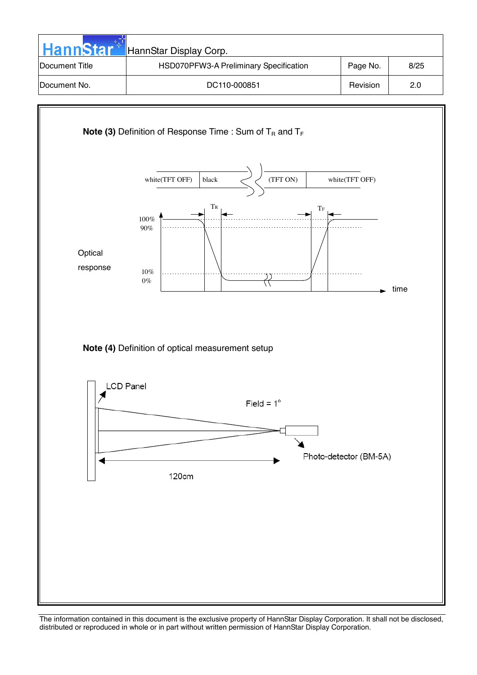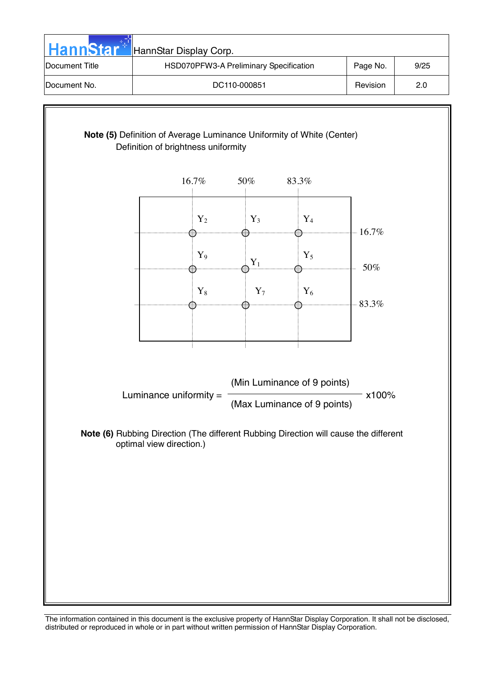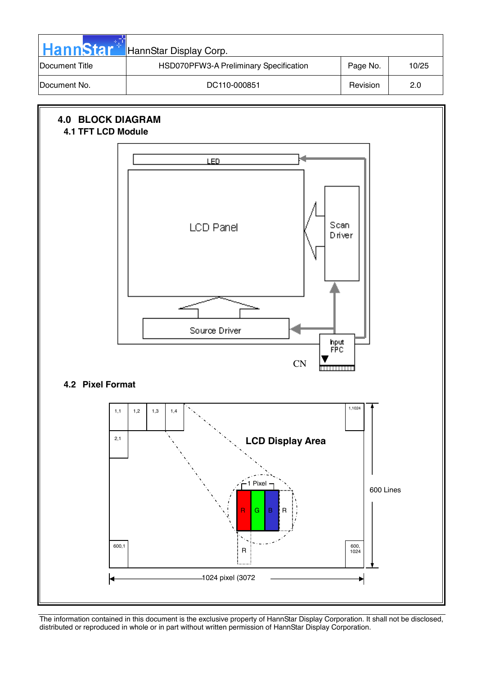

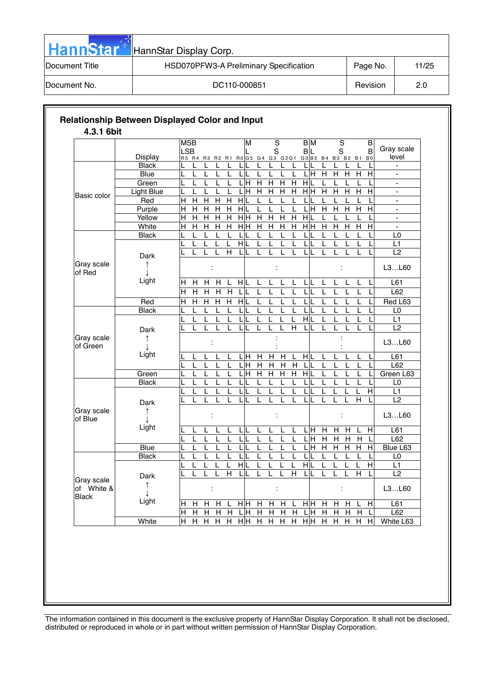| <b>HannStar</b> | HannStar Display Corp.                 |          |       |
|-----------------|----------------------------------------|----------|-------|
| Document Title  | HSD070PFW3-A Preliminary Specification | Page No. | 11/25 |
| Document No.    | DC110-000851                           | Revision | 2.0   |

|                                          |                                | <b>MSB</b><br><b>LSB</b>                                    |                                       | М                |                           | $\overline{s}$<br>$\mathbf S$    |                         | $\overline{BM}$<br><b>BL</b>                 |                | $\overline{s}$<br>S       |                           |                | $\overline{B}$<br>B       | Gray scale               |
|------------------------------------------|--------------------------------|-------------------------------------------------------------|---------------------------------------|------------------|---------------------------|----------------------------------|-------------------------|----------------------------------------------|----------------|---------------------------|---------------------------|----------------|---------------------------|--------------------------|
|                                          | <b>Display</b><br><b>Black</b> | R5 R4 R3 R2 R1 R0 G5 G4 G3 G2G1                             | L                                     |                  |                           | L                                |                         | GO B5 B4 B3 B2 B1 B0<br>L                    |                |                           |                           |                |                           | level<br>$\overline{a}$  |
|                                          | <b>Blue</b>                    | L<br>L<br>L<br>L                                            | L<br>L<br>L                           |                  | L                         | L<br>L<br>L                      | L                       | LIH                                          | Н              | H                         | н                         | $\overline{H}$ | L<br>$\overline{H}$       | $\overline{a}$           |
|                                          | Green                          | L<br>т                                                      | $\mathsf{L}$<br>$\mathsf{I}$          | H                | H                         | $\overline{H}$<br>$\overline{H}$ | н                       | $\overline{\mathsf{H}}$                      |                |                           |                           |                |                           | $\overline{\phantom{0}}$ |
|                                          | <b>Light Blue</b>              | L<br>L                                                      | L<br>L                                | $\overline{H}$   | $\overline{H}$            | $\overline{H}$<br>$\overline{H}$ | $\overline{H}$          | $\frac{\overline{H}}{\overline{H}}$          | Η              | $\overline{H}$            | $\overline{H}$            | $\overline{H}$ | $\overline{H}$            | $\blacksquare$           |
| Basic color                              | Red                            | $\overline{\mathsf{H}}$<br>Н<br>Н                           | Н<br>$\mathsf{H}$<br>$\mathsf{H}$     | L                | L                         | L<br>L                           | L                       | L                                            | L              | L                         | L                         | L              |                           | $\blacksquare$           |
|                                          | Purple                         | Н<br>$\boldsymbol{\mathsf{H}}$<br>$\boldsymbol{\mathsf{H}}$ | $\boldsymbol{\mathsf{H}}$<br>H<br>H   | L                | L                         | L<br>L                           | L                       | L<br>H                                       | $\mathsf{H}$   | $\mathsf{H}$              | $\mathsf{H}$              | $\mathsf{H}$   | H                         | $\overline{a}$           |
|                                          | Yellow                         | Η<br>$\overline{H}$<br>$\overline{H}$                       | $\overline{H}$<br>$\overline{H}$      | H H              | $\overline{H}$            | $\overline{H}$<br>$\mathsf{H}$   | H                       | Н                                            |                | L                         | L                         |                |                           | $\blacksquare$           |
|                                          | White                          | $\overline{H}$<br>Η<br>Н                                    | $\overline{H}$<br>$\overline{H}$      | $\overline{H}$ H | $\mathsf{H}$              | $\overline{H}$<br>$\mathsf{H}$   | Н                       | $\overline{\overline{\mathsf{H}}\mathsf{H}}$ | Н              | $\boldsymbol{\mathsf{H}}$ | $\mathsf{H}$              | $\mathsf{H}$   | $\mathsf{H}$              | $\blacksquare$           |
|                                          | <b>Black</b>                   | L<br>L<br>L                                                 | L<br>L<br>L                           | L                | L                         | L<br>L                           | L                       | L                                            | L              | L                         | L                         | L              | L                         | L <sub>0</sub>           |
|                                          |                                | L<br>L<br>L                                                 | H<br>L<br>L                           | L                | L                         | L<br>L                           | L                       | L                                            | L              | L                         | L                         | L              | L                         | L1                       |
|                                          |                                |                                                             | H<br>L                                | L                |                           |                                  |                         |                                              |                |                           |                           |                |                           | L2                       |
|                                          | Dark                           |                                                             |                                       |                  |                           |                                  |                         |                                              |                |                           |                           |                |                           |                          |
| Gray scale<br>of Red                     | ↑<br>J                         |                                                             |                                       |                  |                           |                                  |                         |                                              |                |                           |                           |                |                           | L3L60                    |
|                                          | Light                          | H<br>H.<br>H                                                | н<br>L                                | HL               | L                         | L<br>L                           | L                       | L                                            |                |                           | L                         | L              | L                         | L61                      |
|                                          |                                | Ε<br>$\overline{H}$<br>H                                    | $\overline{H}$<br>$\overline{H}$<br>L | L                | L                         | L<br>L                           | L                       | L<br>L                                       | L              | L                         | L                         | L              | L                         | L62                      |
|                                          | Red                            | Η<br>$\overline{H}$<br>H                                    | $\overline{H}$<br>H<br>H              |                  | L                         | L<br>L                           | L                       | L                                            | L              | L                         | L                         | L              | L                         | Red L63                  |
|                                          | <b>Black</b>                   | L<br>L<br>L                                                 | L<br>L<br>L                           | L                | L                         | L<br>L                           | T                       | L                                            |                | L                         | L                         | L              | L                         | L0                       |
|                                          |                                |                                                             |                                       |                  |                           |                                  |                         | $\overline{\mathsf{H}}$                      |                |                           |                           |                |                           | L1                       |
|                                          | Dark                           | L<br>L                                                      | L<br>L                                | L                |                           |                                  | $\overline{\mathsf{H}}$ | L                                            | L              | L                         |                           | L              | L                         | L2                       |
| Gray scale<br>of Green                   | 1                              | t                                                           |                                       |                  |                           |                                  |                         |                                              |                |                           |                           |                |                           | L3L60                    |
|                                          | Light                          | L                                                           | $\mathsf{L}$                          | H                | н                         | Н<br>$\mathsf{H}$                | L                       | $\frac{1}{\sqrt{2}}$                         |                |                           |                           | L              |                           | L61                      |
|                                          |                                | L<br>L                                                      | L<br>L<br>L                           | $\overline{H}$   | $\overline{H}$            | $\overline{H}$<br>$\overline{H}$ | H                       | L                                            | L              | L                         | L                         | L              | L                         | L62                      |
|                                          | Green                          | L<br>L<br>L                                                 | $\mathsf{L}$<br>L<br>L                | Η                | $\overline{H}$            | $\overline{H}$<br>$\overline{H}$ | $\overline{H}$          | HIL                                          | L              | L                         | L                         | L              | L                         | Green L63                |
|                                          | <b>Black</b>                   | L<br>L<br>L                                                 | L<br>L<br>L                           | L                | L                         | L<br>L                           | L                       | L                                            | L              | L                         | L                         | L              | L                         | L0                       |
|                                          |                                | L                                                           | L<br>L<br>L                           | L                | $\mathbf{I}$              | L<br>L                           | T                       | L                                            | L              | L                         | L                         | L              | $\overline{H}$            | L1                       |
|                                          |                                |                                                             | L                                     |                  |                           |                                  |                         | L                                            |                | L                         |                           | Н              |                           | L2                       |
| Gray scale                               | Dark                           |                                                             |                                       |                  |                           |                                  |                         |                                              |                |                           |                           |                |                           |                          |
| of Blue                                  | ↑<br>J.                        |                                                             |                                       |                  |                           |                                  |                         |                                              |                |                           |                           |                |                           | L3L60                    |
|                                          | Light                          |                                                             |                                       |                  |                           |                                  |                         | H<br>L                                       | н              | H                         | $\mathsf{H}$              |                | $\overline{H}$            | L61                      |
|                                          |                                | L<br>L<br>L                                                 | L<br>L<br>L                           | L                |                           | L<br>L                           | L                       | LЩ                                           | Н              | H                         | $\boldsymbol{\mathsf{H}}$ | $\mathsf{H}$   | L                         | L62                      |
|                                          | <b>Blue</b>                    | L<br>L<br>L                                                 | L<br>L<br>L                           | L                | L                         | L<br>L                           | L                       | L<br>H                                       | $\overline{H}$ | $\boldsymbol{\mathsf{H}}$ | $\boldsymbol{\mathsf{H}}$ | $\mathsf{H}$   | $\mathsf{H}$              | Blue L63                 |
|                                          | <b>Black</b>                   | L<br>L                                                      | L<br>L<br>L                           | L                | L                         | L<br>L                           | L                       | L                                            | L              | L                         | L                         | L              | L                         | L0                       |
|                                          |                                | L<br>L<br>L                                                 | $\mathsf{H}$<br>L<br>L                | L                | L                         | L<br>L                           | L                       | H<br>L                                       | L              | L                         | L                         | L              | $\mathsf{H}$              | L1                       |
|                                          | Dark                           | L                                                           | H<br>L<br>L                           |                  |                           |                                  | $\overline{H}$          | L                                            | L              | L                         | L                         | H              |                           | L2                       |
| Gray scale<br>of White &<br><b>Black</b> | ↑<br>T                         |                                                             |                                       |                  |                           |                                  |                         |                                              |                |                           |                           |                |                           | L3L60                    |
|                                          | Light                          | H<br>Н<br>H                                                 | н                                     | нŀн              | $\boldsymbol{\mathsf{H}}$ | н<br>H                           |                         | $\frac{1}{2}$                                | H              | Н                         | H                         | L              | $\boldsymbol{\mathsf{H}}$ | L61                      |
|                                          |                                | Η<br>н<br>н                                                 | Н<br>H<br>L                           | H                | $\overline{H}$            | н<br>н                           | H                       | ΙH<br>L                                      | Н              | Н                         | H                         | Η              | T                         | L62                      |
|                                          | White                          | $\overline{\mathsf{H}}$<br>$\overline{H}$<br>$\overline{H}$ | $\overline{H}$<br>$\overline{H}$      | H H              | $\overline{H}$            | $\overline{H}$<br>$\overline{H}$ | $\overline{H}$          | HН                                           | $\overline{H}$ | $\boldsymbol{\mathsf{H}}$ | $\overline{H}$            | Н              | н                         | White L63                |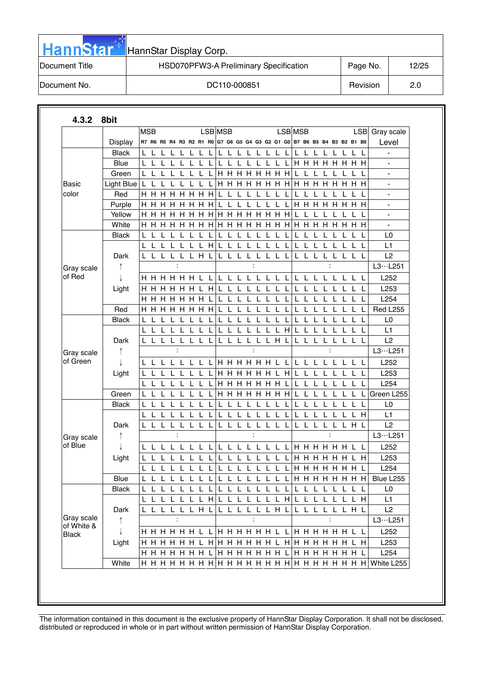| <b>HannStar</b> | HannStar Display Corp.                 |          |       |
|-----------------|----------------------------------------|----------|-------|
| Document Title  | HSD070PFW3-A Preliminary Specification | Page No. | 12/25 |
| Document No.    | DC110-000851                           | Revision | 2.0   |

| 4.3.2                  | 8bit            |            |              |        |                         |              |              |              |              |              |              |                                                 |          |   |              |              |      |                         |              |    |                |                |              |     |                                                     |                                  |
|------------------------|-----------------|------------|--------------|--------|-------------------------|--------------|--------------|--------------|--------------|--------------|--------------|-------------------------------------------------|----------|---|--------------|--------------|------|-------------------------|--------------|----|----------------|----------------|--------------|-----|-----------------------------------------------------|----------------------------------|
|                        |                 | <b>MSB</b> |              |        |                         |              |              |              |              | LSB MSB      |              |                                                 |          |   |              |              |      | <b>LSB</b> MSB          |              |    |                |                |              |     | <b>LSB</b>                                          | Gray scale                       |
|                        | Display         |            |              |        | R7 R6 R5 R4 R3 R2 R1 R0 |              |              |              |              |              |              | G7 G6 G5 G4 G3 G2 G1 G0 B7 B6 B5 B4 B3 B2 B1 B0 |          |   |              |              |      |                         |              |    |                |                |              |     |                                                     | Level                            |
|                        | <b>Black</b>    |            |              |        |                         |              |              |              |              |              |              |                                                 |          |   |              |              |      | L                       |              |    |                |                |              |     |                                                     |                                  |
|                        | <b>Blue</b>     |            |              |        |                         |              |              |              |              |              |              |                                                 |          |   |              |              |      | H.                      | H.           | H. | H.             | H.             | H.           |     | нн                                                  |                                  |
|                        | Green           | L          | $\mathbf{I}$ |        |                         |              |              |              |              |              |              | <b>H   H   H   H   H   H   H</b>                |          |   |              |              |      | $\mathbf{L}$            |              |    |                |                |              |     | L                                                   | $\blacksquare$                   |
| Basic                  | Light Blue      | ∣∟         |              |        |                         |              |              |              |              | H.           | H            | H                                               | H        | H | H            | H            | H    | H                       | н            | H  | H              | н              | н            |     | нн                                                  | ٠                                |
| color                  | Red             | H.         | H            |        | нн                      | H H H        |              |              | H            | L            |              |                                                 |          |   |              |              |      |                         |              |    |                |                |              |     |                                                     |                                  |
|                        | Purple          |            |              |        | H H H H H H H           |              |              |              | н            | L            |              |                                                 |          |   |              |              |      |                         |              |    |                | H H H H H H H  |              |     |                                                     | $\blacksquare$                   |
|                        | Yellow<br>White | нн<br>н    | н            | н<br>н | н                       | H.           | H            | H<br>н       | H<br>н       | H.           | H            | <b>H H H H H H H</b><br>H                       | н        | н | н            | нн           |      | L<br>H.                 | н            | H  |                |                |              |     | L<br>H H                                            | $\blacksquare$<br>$\blacksquare$ |
|                        | <b>Black</b>    |            |              |        |                         |              |              |              |              |              |              |                                                 |          |   |              |              |      |                         |              |    |                |                |              |     | $\mathbf{L}$                                        | L <sub>0</sub>                   |
|                        |                 | L          |              |        |                         |              |              | $\mathbf{I}$ | H            | L            |              |                                                 |          | L | $\mathbf{L}$ | $\mathbf{L}$ | Ι.   | L                       | L            |    |                | I.             |              |     | L L                                                 | L1                               |
|                        | Dark            |            | L            | L      | L                       | L            |              | L H          | L            | L            | L            | -L                                              | L        | L | L            | L            | L    | L                       | L            | L  | L              | L              | L            |     | L L                                                 | L2                               |
|                        |                 |            |              |        |                         |              |              |              |              |              |              |                                                 |          |   |              |              |      |                         |              |    |                |                |              |     |                                                     | L3L251                           |
| Gray scale<br>of Red   |                 |            |              |        | HHHHHHL                 |              |              |              |              | L            |              |                                                 |          |   |              |              |      |                         |              |    |                |                |              |     |                                                     | L252                             |
|                        |                 |            |              |        |                         |              | H            | $\mathbf{I}$ | -L           |              |              |                                                 |          |   |              |              |      | L                       |              |    |                | L              |              |     | L L                                                 | L253                             |
|                        | Light           | н<br>н     | H.<br>H      | H<br>H | н<br>н                  | H<br>H       | H            | H            | H            | L            |              |                                                 |          |   |              |              |      |                         |              |    |                |                |              |     |                                                     | L254                             |
|                        | Red             | H.         |              |        |                         |              |              |              |              |              |              |                                                 |          |   |              |              |      |                         |              |    |                |                |              |     |                                                     | <b>Red L255</b>                  |
|                        | <b>Black</b>    | L          | L            | L      | H H H H H H H           |              |              | L            |              | L            | $\mathbf{L}$ | L                                               |          |   |              |              |      | L                       |              |    |                | L              |              |     | ⊥ L                                                 | L0                               |
|                        |                 | L          | $\mathbf{I}$ |        |                         |              |              | L            |              | L            |              |                                                 |          |   |              |              | H    | L                       |              |    |                |                |              |     | L                                                   | L1                               |
|                        | Dark            |            |              |        |                         |              |              | L            |              |              |              |                                                 |          |   |              | H            |      |                         |              |    |                |                |              |     |                                                     | L2                               |
|                        |                 |            |              |        | $\ddot{\cdot}$          |              |              |              |              |              |              |                                                 |          |   |              |              |      |                         |              |    |                |                |              |     |                                                     | L3L251                           |
| Gray scale<br>of Green |                 |            | L            |        |                         | $\mathbf{I}$ | $\mathbf{L}$ | -L           | - L          |              |              | H H H H H L L                                   |          |   |              |              |      | L                       | $\mathbf{L}$ |    |                | L              |              |     | - L - L                                             | L252                             |
|                        | Light           |            |              |        |                         |              |              |              |              |              |              | <b>H H H H H</b>                                |          |   |              |              | H    |                         |              |    |                |                |              |     |                                                     | L253                             |
|                        |                 |            |              |        |                         |              |              |              |              |              |              | <b>H H H H H H</b>                              |          |   |              |              |      | L                       |              |    |                |                |              |     |                                                     | L254                             |
|                        | Green           |            |              |        |                         |              |              | $\mathbf{L}$ | $\mathbf{L}$ |              |              | <b>H H H H H H H</b>                            |          |   |              |              |      |                         |              |    |                |                |              |     |                                                     | Green L255                       |
|                        | <b>Black</b>    |            | L            |        |                         |              |              |              |              | L            |              |                                                 |          |   |              |              |      | L                       |              |    |                | L              |              |     | ┖                                                   | L0                               |
|                        |                 |            |              |        |                         |              |              |              |              |              |              |                                                 |          |   |              |              |      |                         |              |    |                |                |              |     | H                                                   | L1                               |
|                        | Dark            |            | L            | L      |                         |              |              |              |              | L            |              |                                                 |          |   |              |              |      |                         |              |    |                |                |              | LHL |                                                     | L2                               |
| Gray scale             |                 |            |              |        | $\ddot{\cdot}$          |              |              |              |              |              |              |                                                 |          |   |              |              |      |                         |              |    |                | $\ddot{\cdot}$ |              |     |                                                     | L3L251                           |
| of Blue                |                 | L          |              |        | L L L L L L L           |              |              |              |              |              |              | L L L L                                         |          |   |              |              |      | L L L L H H H H H H L L |              |    |                |                |              |     |                                                     | L252                             |
|                        | Light           |            |              |        |                         |              |              |              |              | L            |              |                                                 |          |   |              |              |      | H.                      | H            |    | H H            | H              | н            |     | H                                                   | L253                             |
|                        |                 | L          | L            | L      | L                       | L            | L            | L            | L            | L            | L            | L                                               | L        | L | L            |              | L    |                         |              |    |                | H H H H H H H  |              |     |                                                     | L <sub>254</sub>                 |
|                        | Blue            |            |              |        |                         |              |              |              |              |              |              |                                                 |          |   |              |              |      |                         |              |    |                |                |              |     | L L L L L L L L L L L L L L L L L H H H H H H H H H | Blue L255                        |
|                        | <b>Black</b>    |            |              |        | L L L L L L L           |              |              |              | $\mathsf{L}$ |              |              | LLLLLLLL                                        |          |   |              |              |      | LLL                     |              |    | $\mathsf{L}^-$ | L              | $\mathbf{L}$ |     | L L                                                 | L <sub>0</sub>                   |
|                        |                 | L L        |              |        |                         | L            | -L           | L H          |              | $\mathsf{L}$ | L            | $\mathsf L$                                     | ັ∟       |   |              |              | LLLH | L                       | L            | L  | L              | $\mathsf L$    |              |     | L H                                                 | L1                               |
|                        | Dark            |            |              |        | LLLLLLHL                |              |              |              |              |              |              | LLLLLLHL                                        |          |   |              |              |      |                         |              |    |                | LLLLLLHL       |              |     |                                                     | L2                               |
| Gray scale             | ↑               |            |              |        | $\colon$                |              |              |              |              |              |              |                                                 | $\colon$ |   |              |              |      |                         |              |    |                | $\ddot{\cdot}$ |              |     |                                                     | L3L251                           |
| of White &             |                 |            |              |        |                         |              |              |              |              |              |              |                                                 |          |   |              |              |      |                         |              |    |                |                |              |     |                                                     | L252                             |
| <b>Black</b>           | Light           |            |              |        |                         |              |              |              |              |              |              |                                                 |          |   |              |              |      |                         |              |    |                |                |              |     | L H                                                 | L253                             |
|                        |                 |            |              |        |                         |              |              |              |              |              |              |                                                 |          |   |              |              |      | H H H H H H L           |              |    |                |                |              |     |                                                     | L254                             |
|                        | White           |            |              |        |                         |              |              |              |              |              |              |                                                 |          |   |              |              |      |                         |              |    |                |                |              |     |                                                     | White L255                       |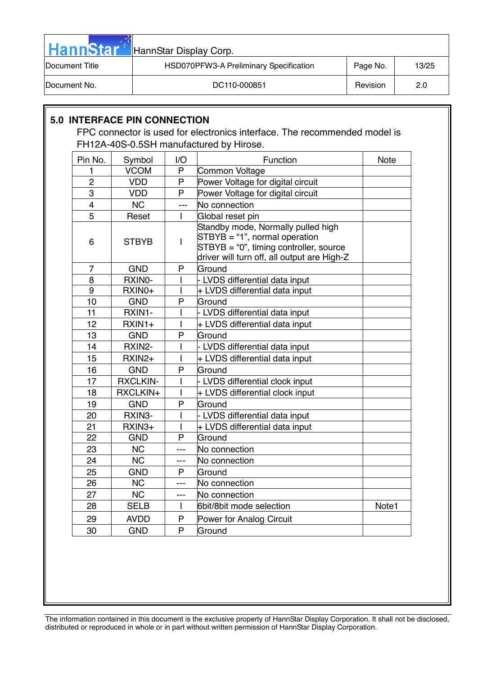| <b>HannStar</b>        | HannStar Display Corp.                 |                 |       |
|------------------------|----------------------------------------|-----------------|-------|
| <b>IDocument Title</b> | HSD070PFW3-A Preliminary Specification | Page No.        | 13/25 |
| Document No.           | DC110-000851                           | <b>Revision</b> | 2.0   |
|                        |                                        |                 |       |

# **5.0 INTERFACE PIN CONNECTION**

FPC connector is used for electronics interface. The recommended model is FH12A-40S-0.5SH manufactured by Hirose.

| Pin No.        | Symbol          | I/O                      | Function                                                                                                                                                          | <b>Note</b> |
|----------------|-----------------|--------------------------|-------------------------------------------------------------------------------------------------------------------------------------------------------------------|-------------|
| 1              | <b>VCOM</b>     | P                        | Common Voltage                                                                                                                                                    |             |
| $\overline{2}$ | <b>VDD</b>      | P                        | Power Voltage for digital circuit                                                                                                                                 |             |
| 3              | <b>VDD</b>      | P                        | Power Voltage for digital circuit                                                                                                                                 |             |
| $\overline{4}$ | <b>NC</b>       | $---$                    | No connection                                                                                                                                                     |             |
| $\overline{5}$ | Reset           | $\mathbf{I}$             | Global reset pin                                                                                                                                                  |             |
| 6              | <b>STBYB</b>    | $\overline{\phantom{a}}$ | Standby mode, Normally pulled high<br>$STBYB = "1", normal operation$<br>$STBYB = "0"$ , timing controller, source<br>driver will turn off, all output are High-Z |             |
| $\overline{7}$ | <b>GND</b>      | P                        | Ground                                                                                                                                                            |             |
| 8              | RXINO-          | L                        | - LVDS differential data input                                                                                                                                    |             |
| 9              | RXIN0+          | I                        | + LVDS differential data input                                                                                                                                    |             |
| 10             | <b>GND</b>      | P                        | Ground                                                                                                                                                            |             |
| 11             | RXIN1-          | L                        | - LVDS differential data input                                                                                                                                    |             |
| 12             | $RXIN1+$        | L                        | + LVDS differential data input                                                                                                                                    |             |
| 13             | <b>GND</b>      | P                        | Ground                                                                                                                                                            |             |
| 14             | RXIN2-          | L                        | - LVDS differential data input                                                                                                                                    |             |
| 15             | $RXIN2+$        | $\mathsf{I}$             | + LVDS differential data input                                                                                                                                    |             |
| 16             | <b>GND</b>      | P                        | Ground                                                                                                                                                            |             |
| 17             | <b>RXCLKIN-</b> | I                        | - LVDS differential clock input                                                                                                                                   |             |
| 18             | RXCLKIN+        | $\overline{1}$           | + LVDS differential clock input                                                                                                                                   |             |
| 19             | <b>GND</b>      | P                        | Ground                                                                                                                                                            |             |
| 20             | RXIN3-          | $\mathsf{I}$             | - LVDS differential data input                                                                                                                                    |             |
| 21             | RXIN3+          | L                        | + LVDS differential data input                                                                                                                                    |             |
| 22             | <b>GND</b>      | P                        | Ground                                                                                                                                                            |             |
| 23             | <b>NC</b>       | ---                      | No connection                                                                                                                                                     |             |
| 24             | <b>NC</b>       | ---                      | No connection                                                                                                                                                     |             |
| 25             | <b>GND</b>      | P                        | Ground                                                                                                                                                            |             |
| 26             | <b>NC</b>       | ---                      | No connection                                                                                                                                                     |             |
| 27             | <b>NC</b>       | ---                      | No connection                                                                                                                                                     |             |
| 28             | <b>SELB</b>     | L                        | 6bit/8bit mode selection                                                                                                                                          | Note1       |
| 29             | <b>AVDD</b>     | P                        | Power for Analog Circuit                                                                                                                                          |             |
| 30             | <b>GND</b>      | P                        | Ground                                                                                                                                                            |             |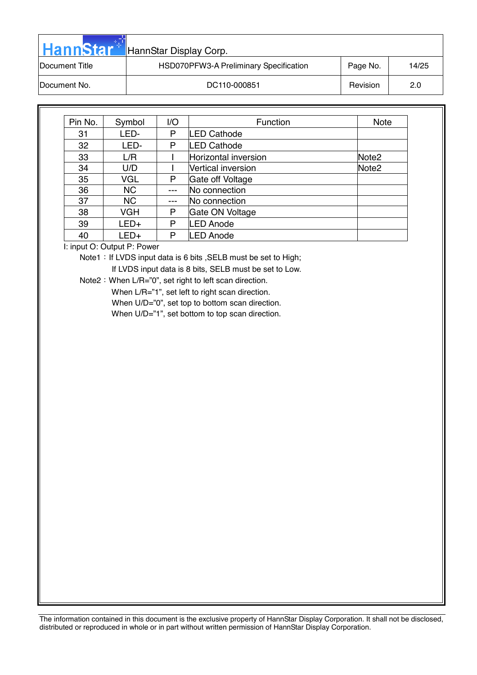| <b>HannStar</b> | HannStar Display Corp.                 |          |       |
|-----------------|----------------------------------------|----------|-------|
| Document Title  | HSD070PFW3-A Preliminary Specification | Page No. | 14/25 |
| Document No.    | DC110-000851                           | Revision | 2.0   |

| Pin No. | Symbol     | 1/O   | Function             | <b>Note</b>       |
|---------|------------|-------|----------------------|-------------------|
| 31      | LED-       | P     | LED Cathode          |                   |
| 32      | LED-       | P     | <b>LED Cathode</b>   |                   |
| 33      | L/R        |       | Horizontal inversion | Note <sub>2</sub> |
| 34      | U/D        |       | Vertical inversion   | Note <sub>2</sub> |
| 35      | <b>VGL</b> | P     | Gate off Voltage     |                   |
| 36      | <b>NC</b>  |       | No connection        |                   |
| 37      | <b>NC</b>  | $---$ | No connection        |                   |
| 38      | <b>VGH</b> | Р     | Gate ON Voltage      |                   |
| 39      | $LED+$     | P     | <b>LED Anode</b>     |                   |
| 40      | $LED+$     | P     | <b>LED Anode</b>     |                   |

I: input O: Output P: Power

Note1: If LVDS input data is 6 bits, SELB must be set to High;

If LVDS input data is 8 bits, SELB must be set to Low.

Note2: When L/R="0", set right to left scan direction.

When L/R="1", set left to right scan direction.

When U/D="0", set top to bottom scan direction.

When U/D="1", set bottom to top scan direction.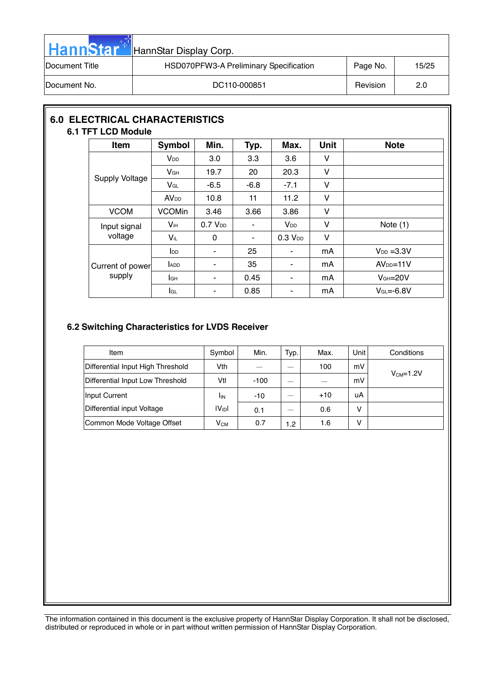| <b>HannStar</b> | HannStar Display Corp.                 |          |       |
|-----------------|----------------------------------------|----------|-------|
| Document Title  | HSD070PFW3-A Preliminary Specification | Page No. | 15/25 |
| Document No.    | DC110-000851                           | Revision | 2.0   |

# **6.0 ELECTRICAL CHARACTERISTICS 6.1 TFT LCD Module**

| Item                  | Symbol                 | Min.                | Typ.   | Max.                   | <b>Unit</b> | <b>Note</b>      |
|-----------------------|------------------------|---------------------|--------|------------------------|-------------|------------------|
|                       | V <sub>DD</sub>        | 3.0                 | 3.3    | 3.6                    | V           |                  |
|                       | V <sub>GH</sub>        | 19.7                | 20     | 20.3                   | V           |                  |
| <b>Supply Voltage</b> | VGL                    | $-6.5$              | $-6.8$ | $-7.1$                 | V           |                  |
|                       | <b>AV<sub>DD</sub></b> | 10.8                | 11     | 11.2                   | V           |                  |
| <b>VCOM</b>           | <b>VCOMin</b>          | 3.46                | 3.66   | 3.86                   | V           |                  |
| Input signal          | Vін                    | 0.7 V <sub>DD</sub> | ٠      | <b>V</b> <sub>DD</sub> | V           | Note $(1)$       |
| voltage               | $V_{iL}$               | 0                   | ٠      | 0.3 V <sub>DD</sub>    | V           |                  |
|                       | $I_{DD}$               | ٠                   | 25     | ۰                      | mA          | $V_{DD} = 3.3V$  |
| Current of power      | ADD                    | ٠                   | 35     | ۰                      | mA          | $AVDD=11V$       |
| supply                | lсн                    | ٠                   | 0.45   | ۰                      | mA          | $VGH=20V$        |
|                       | lgL                    | ۰                   | 0.85   | ٠                      | mA          | $V_{GL} = -6.8V$ |

## **6.2 Switching Characteristics for LVDS Receiver**

| Item                              | Symbol      | Min.   | Typ. | Max.  | <b>Unit</b> | Conditions |
|-----------------------------------|-------------|--------|------|-------|-------------|------------|
| Differential Input High Threshold | Vth         |        |      | 100   | mV          |            |
| Differential Input Low Threshold  | Vtl         | $-100$ |      |       | mV          | $VCM=1.2V$ |
| Input Current                     | <b>I</b> IN | $-10$  |      | $+10$ | uA          |            |
| Differential input Voltage        | $ V_{ID} $  | 0.1    |      | 0.6   | v           |            |
| Common Mode Voltage Offset        | $V_{CM}$    | 0.7    | 1.2  | 1.6   | v           |            |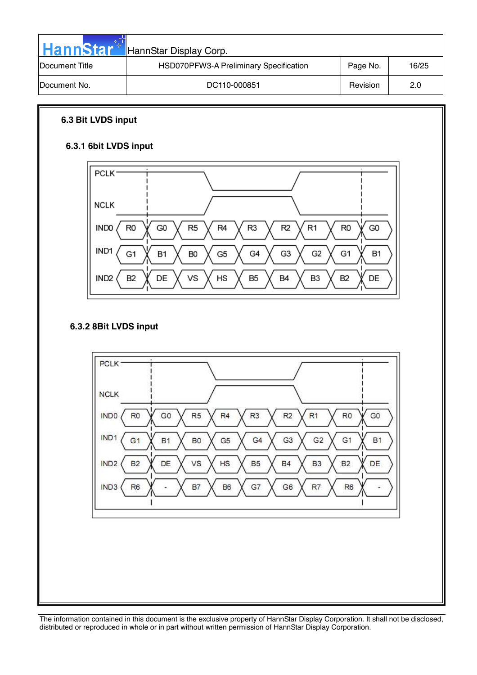| <b>HannStar</b>        | HannStar Display Corp.                 |          |       |
|------------------------|----------------------------------------|----------|-------|
| <b>IDocument Title</b> | HSD070PFW3-A Preliminary Specification | Page No. | 16/25 |
| <b>IDocument No.</b>   | DC110-000851                           | Revision | 2.0   |

## **6.3 Bit LVDS input**

# **6.3.1 6bit LVDS input**



## **6.3.2 8Bit LVDS input**

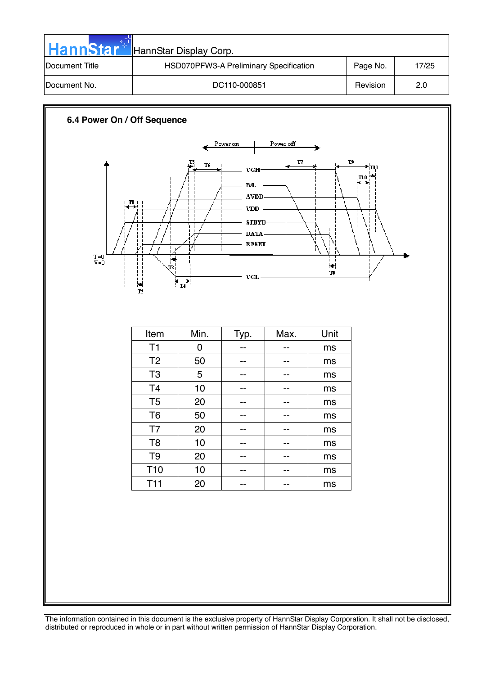| <b>HannStar</b>        | HannStar Display Corp.                 |          |       |
|------------------------|----------------------------------------|----------|-------|
| <b>IDocument Title</b> | HSD070PFW3-A Preliminary Specification | Page No. | 17/25 |
| Document No.           | DC110-000851                           | Revision | 2.0   |

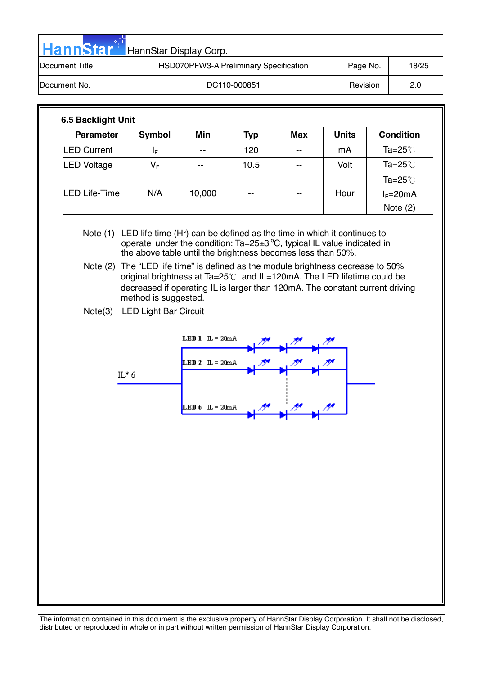| <b>HannStar</b> | HannStar Display Corp.                 |          |       |  |  |  |  |  |
|-----------------|----------------------------------------|----------|-------|--|--|--|--|--|
| Document Title  | HSD070PFW3-A Preliminary Specification | Page No. | 18/25 |  |  |  |  |  |
| Document No.    | DC110-000851                           | Revision | 2.0   |  |  |  |  |  |

| <b>Parameter</b>     | Symbol                  | Min    | <b>Typ</b> | Max                      | <b>Units</b> | <b>Condition</b>   |
|----------------------|-------------------------|--------|------------|--------------------------|--------------|--------------------|
| <b>LED Current</b>   | ΙF                      | --     | 120        | $- -$                    | mA           | Ta= $25^{\circ}$ C |
| LED Voltage          | $\mathsf{V}_\mathsf{F}$ | $- -$  | 10.5       | $-$                      | Volt         | Ta= $25^{\circ}$ C |
|                      |                         |        |            |                          |              | Ta=25 $°C$         |
| <b>LED Life-Time</b> | N/A                     | 10,000 | $- -$      | $\overline{\phantom{m}}$ | Hour         | $I_F=20mA$         |
|                      |                         |        |            |                          |              | Note $(2)$         |

Note (1) LED life time (Hr) can be defined as the time in which it continues to operate under the condition: Ta=25 $\pm$ 3 °C, typical IL value indicated in the above table until the brightness becomes less than 50%.

Note (2) The "LED life time" is defined as the module brightness decrease to 50% original brightness at Ta= $25^{\circ}$ C and IL=120mA. The LED lifetime could be decreased if operating IL is larger than 120mA. The constant current driving method is suggested.

Note(3) LED Light Bar Circuit

ġġġġġġġ

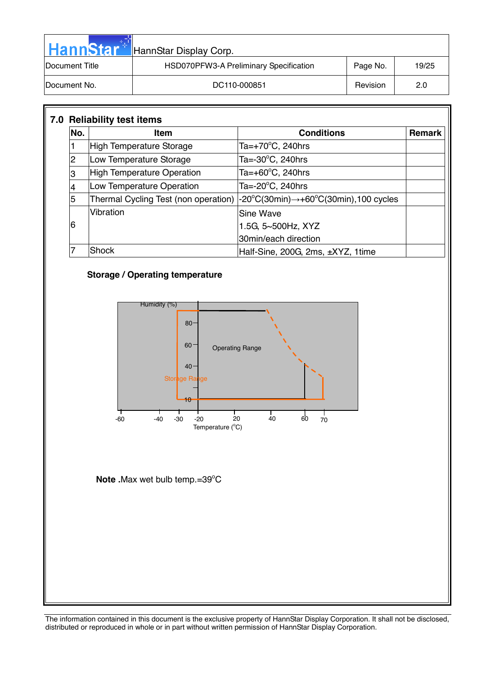| <b>HannStar</b>        | HannStar Display Corp.                 |          |       |  |  |  |  |  |  |
|------------------------|----------------------------------------|----------|-------|--|--|--|--|--|--|
| <b>IDocument Title</b> | HSD070PFW3-A Preliminary Specification | Page No. | 19/25 |  |  |  |  |  |  |
| Document No.           | DC110-000851                           | Revision | 2.0   |  |  |  |  |  |  |

| No. | <b>Item</b>                          | <b>Conditions</b>                                                       | <b>Remark</b> |
|-----|--------------------------------------|-------------------------------------------------------------------------|---------------|
|     | High Temperature Storage             | Ta= $+70^{\circ}$ C, 240hrs                                             |               |
| 2   | Low Temperature Storage              | Ta= $-30^{\circ}$ C, 240hrs                                             |               |
| 3   | <b>High Temperature Operation</b>    | Ta=+60 $\mathrm{^{\circ}C}$ , 240hrs                                    |               |
| 4   | Low Temperature Operation            | Ta= $-20^{\circ}$ C, 240hrs                                             |               |
| 5   | Thermal Cycling Test (non operation) | $-20^{\circ}$ C(30min) $\rightarrow$ +60 $^{\circ}$ C(30min),100 cycles |               |
|     | Vibration                            | <b>Sine Wave</b>                                                        |               |
| 6   |                                      | 1.5G, 5~500Hz, XYZ                                                      |               |
|     |                                      | 30min/each direction                                                    |               |
| 7   | Shock                                | Half-Sine, 200G, 2ms, ±XYZ, 1time                                       |               |

## **Storage / Operating temperature**



Note .Max wet bulb temp.=39°C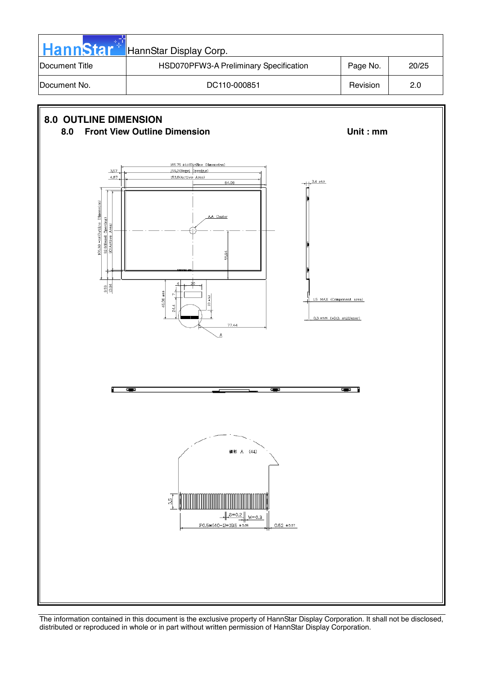| <b>HannStar</b> | HannStar Display Corp.                 |          |       |
|-----------------|----------------------------------------|----------|-------|
| Document Title  | HSD070PFW3-A Preliminary Specification | Page No. | 20/25 |
| Document No.    | DC110-000851                           | Revision | 2.0   |

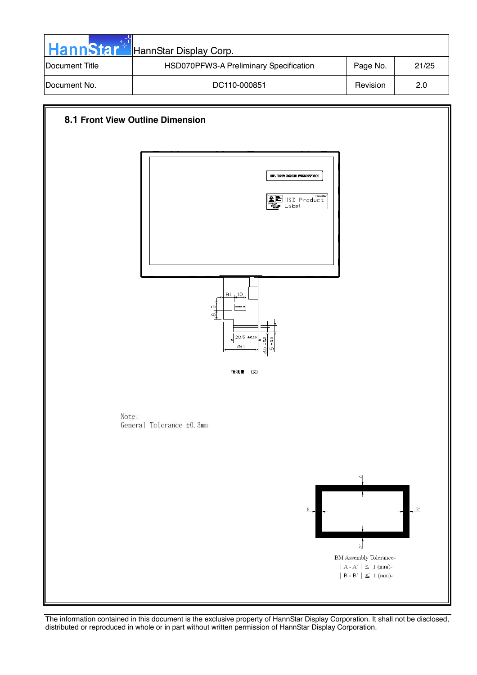| <b>HannStar</b>        | HannStar Display Corp.                 |          |       |
|------------------------|----------------------------------------|----------|-------|
| <b>IDocument Title</b> | HSD070PFW3-A Preliminary Specification | Page No. | 21/25 |
| <b>IDocument No.</b>   | DC110-000851                           | Revision | 2.0   |

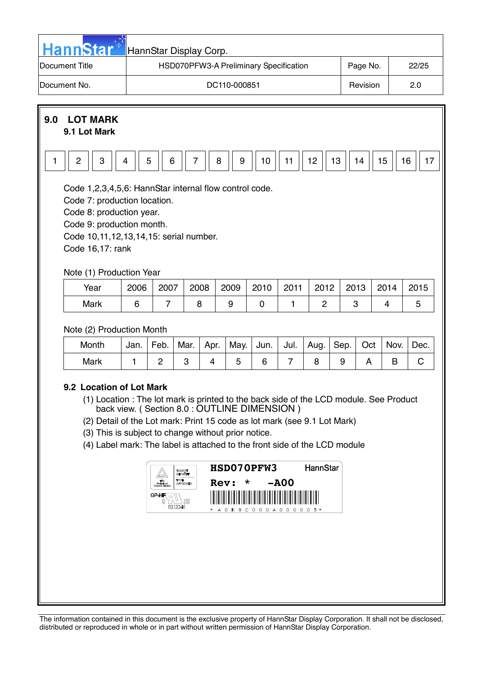| <b>HannStar</b> | HannStar Display Corp.                 |          |       |
|-----------------|----------------------------------------|----------|-------|
| Document Title  | HSD070PFW3-A Preliminary Specification | Page No. | 22/25 |
| Document No.    | DC110-000851                           | Revision | 2.0   |



| Month | Jan. I | Feb. |  | .   Mar.   Apr.   May.   Jun.   Jul.   Aug.   Sep.   Oct   Nov.   Dec. |  |  |  |  |
|-------|--------|------|--|------------------------------------------------------------------------|--|--|--|--|
| Mark  |        |      |  |                                                                        |  |  |  |  |

## **9.2 Location of Lot Mark**

- (1) Location : The lot mark is printed to the back side of the LCD module. See Product back view. ( Section 8.0 : OUTLINE DIMENSION )
- (2) Detail of the Lot mark: Print 15 code as lot mark (see 9.1 Lot Mark)
- (3) This is subject to change without prior notice.
- (4) Label mark: The label is attached to the front side of the LCD module

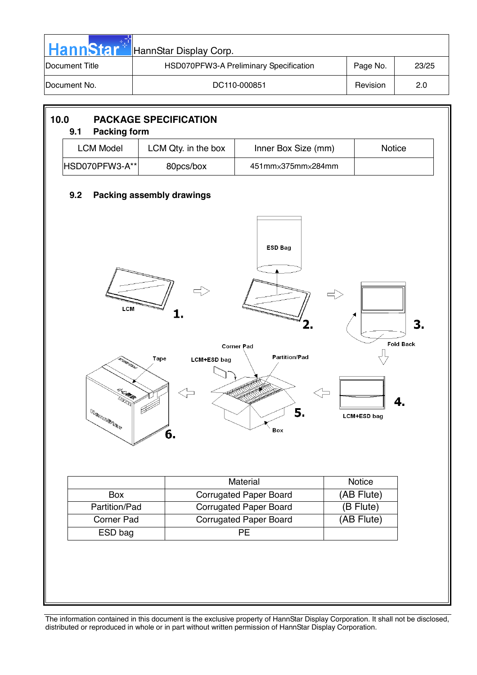| <b>HannStar</b>        | HannStar Display Corp.                 |          |       |
|------------------------|----------------------------------------|----------|-------|
| <b>IDocument Title</b> | HSD070PFW3-A Preliminary Specification | Page No. | 23/25 |
| IDocument No.          | DC110-000851                           | Revision | 2.0   |

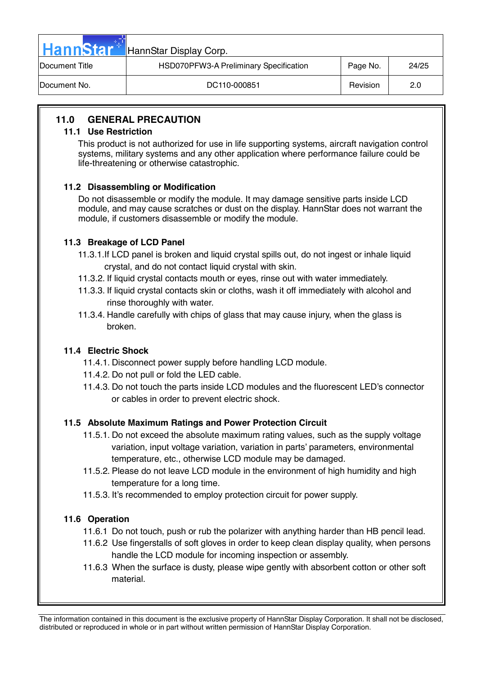| <b>HannStar</b>        | HannStar Display Corp.                 |          |       |
|------------------------|----------------------------------------|----------|-------|
| <b>IDocument Title</b> | HSD070PFW3-A Preliminary Specification | Page No. | 24/25 |
| <b>IDocument No.</b>   | DC110-000851                           | Revision | 2.0   |

# **11.0 GENERAL PRECAUTION**

#### **11.1 Use Restriction**

This product is not authorized for use in life supporting systems, aircraft navigation control systems, military systems and any other application where performance failure could be life-threatening or otherwise catastrophic.

## **11.2 Disassembling or Modification**

 Do not disassemble or modify the module. It may damage sensitive parts inside LCD module, and may cause scratches or dust on the display. HannStar does not warrant the module, if customers disassemble or modify the module.

## **11.3 Breakage of LCD Panel**

- 11.3.1.If LCD panel is broken and liquid crystal spills out, do not ingest or inhale liquid crystal, and do not contact liquid crystal with skin.
- 11.3.2. If liquid crystal contacts mouth or eyes, rinse out with water immediately.
- 11.3.3. If liquid crystal contacts skin or cloths, wash it off immediately with alcohol and rinse thoroughly with water.
- 11.3.4. Handle carefully with chips of glass that may cause injury, when the glass is broken.

## **11.4 Electric Shock**

- 11.4.1. Disconnect power supply before handling LCD module.
- 11.4.2. Do not pull or fold the LED cable.
- 11.4.3. Do not touch the parts inside LCD modules and the fluorescent LED's connector or cables in order to prevent electric shock.

## **11.5 Absolute Maximum Ratings and Power Protection Circuit**

- 11.5.1. Do not exceed the absolute maximum rating values, such as the supply voltage variation, input voltage variation, variation in parts' parameters, environmental temperature, etc., otherwise LCD module may be damaged.
- 11.5.2. Please do not leave LCD module in the environment of high humidity and high temperature for a long time.
- 11.5.3. It's recommended to employ protection circuit for power supply.

## **11.6 Operation**

- 11.6.1 Do not touch, push or rub the polarizer with anything harder than HB pencil lead.
- 11.6.2 Use fingerstalls of soft gloves in order to keep clean display quality, when persons handle the LCD module for incoming inspection or assembly.
- 11.6.3 When the surface is dusty, please wipe gently with absorbent cotton or other soft material.